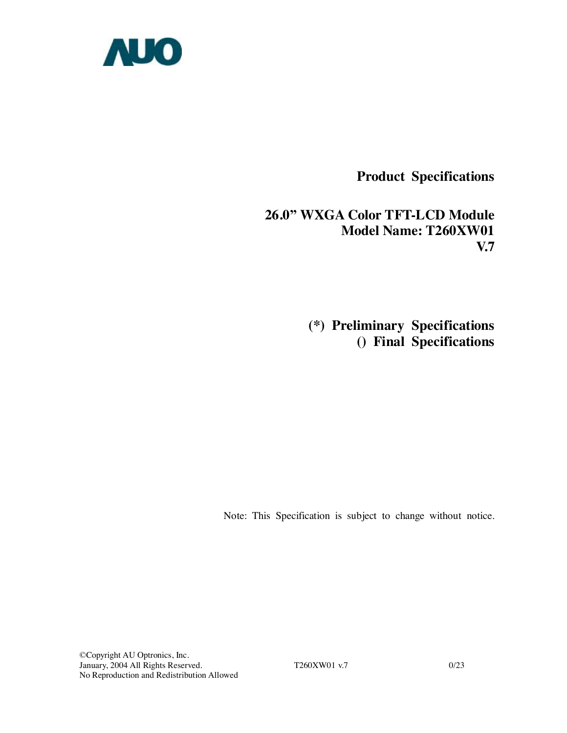

**Product Specifications** 

**26.0" WXGA Color TFT-LCD Module Model Name: T260XW01 V.7** 

> **(\*) Preliminary Specifications () Final Specifications**

Note: This Specification is subject to change without notice.

©Copyright AU Optronics, Inc. January, 2004 All Rights Reserved. T260XW01 v.7 0/23 No Reproduction and Redistribution Allowed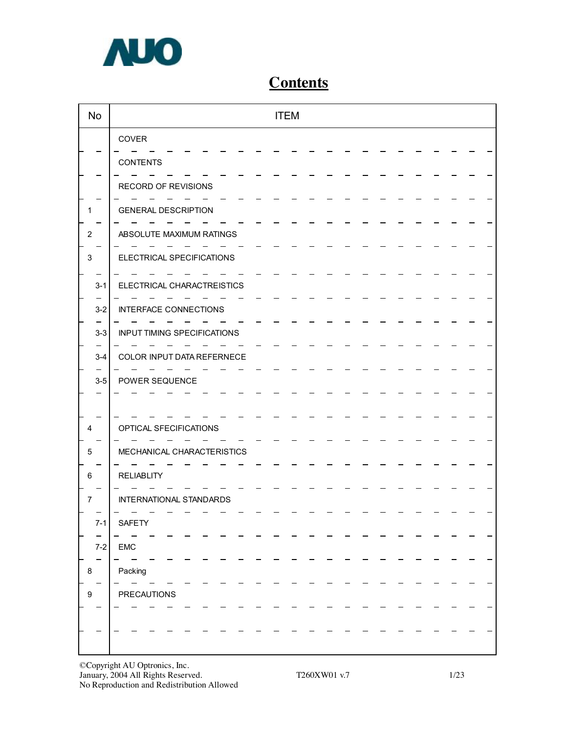

# **Contents**

| <b>No</b> | <b>ITEM</b>                        |  |
|-----------|------------------------------------|--|
|           | COVER                              |  |
|           | <b>CONTENTS</b>                    |  |
|           | RECORD OF REVISIONS                |  |
|           | <b>GENERAL DESCRIPTION</b>         |  |
| 2         | ABSOLUTE MAXIMUM RATINGS           |  |
| 3         | ELECTRICAL SPECIFICATIONS          |  |
| $3 - 1$   | ELECTRICAL CHARACTREISTICS         |  |
| $3 - 2$   | <b>INTERFACE CONNECTIONS</b>       |  |
| $3-3$     | <b>INPUT TIMING SPECIFICATIONS</b> |  |
| $3-4$     | COLOR INPUT DATA REFERNECE         |  |
| $3-5$     | POWER SEQUENCE                     |  |
|           |                                    |  |
| 4         | OPTICAL SFECIFICATIONS             |  |
| 5         | MECHANICAL CHARACTERISTICS         |  |
| 6         | <b>RELIABLITY</b>                  |  |
| 7         | INTERNATIONAL STANDARDS            |  |
| $7-1$     | SAFETY                             |  |
| $7 - 2$   | EMC                                |  |
| 8         | Packing                            |  |
| 9         | <b>PRECAUTIONS</b>                 |  |
|           |                                    |  |
|           |                                    |  |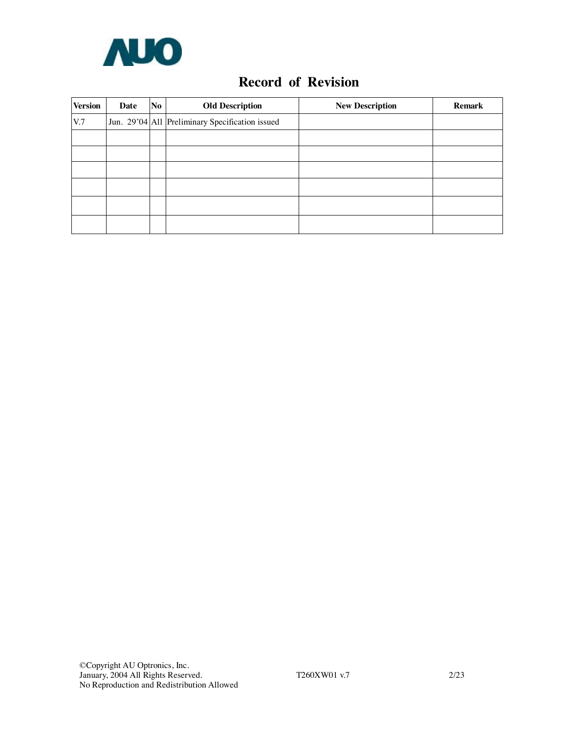

## **Record of Revision**

| <b>Version</b> | No<br>Date |  | <b>Old Description</b>                          | <b>New Description</b> | <b>Remark</b> |
|----------------|------------|--|-------------------------------------------------|------------------------|---------------|
| V.7            |            |  | Jun. 29'04 All Preliminary Specification issued |                        |               |
|                |            |  |                                                 |                        |               |
|                |            |  |                                                 |                        |               |
|                |            |  |                                                 |                        |               |
|                |            |  |                                                 |                        |               |
|                |            |  |                                                 |                        |               |
|                |            |  |                                                 |                        |               |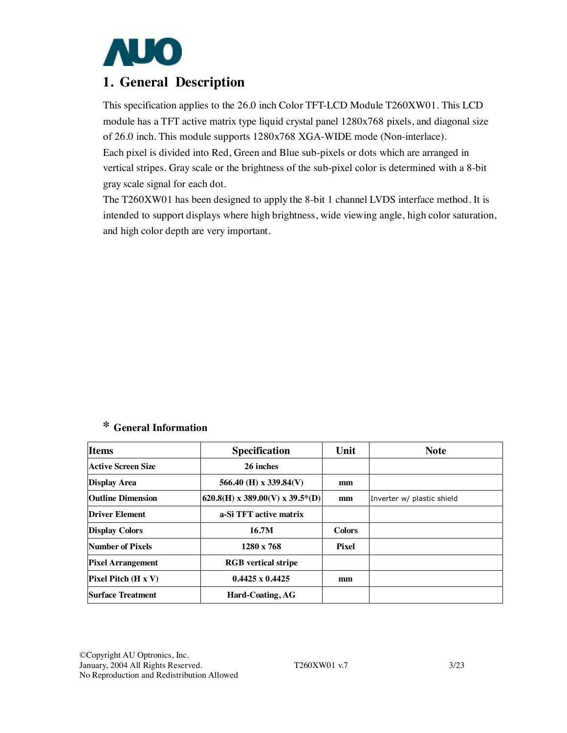

## **1. General Description**

This specification applies to the 26.0 inch Color TFT-LCD Module T260XW01. This LCD module has a TFT active matrix type liquid crystal panel 1280x768 pixels, and diagonal size of 26.0 inch. This module supports 1280x768 XGA-WIDE mode (Non-interlace). Each pixel is divided into Red, Green and Blue sub-pixels or dots which are arranged in vertical stripes. Gray scale or the brightness of the sub-pixel color is determined with a 8-bit gray scale signal for each dot.

The T260XW01 has been designed to apply the 8-bit 1 channel LVDS interface method. It is intended to support displays where high brightness, wide viewing angle, high color saturation, and high color depth are very important.

## **\* General Information**

| <b>Items</b>               | <b>Specification</b>            | Unit          | <b>Note</b>                |
|----------------------------|---------------------------------|---------------|----------------------------|
| Active Screen Size         | 26 inches                       |               |                            |
| <b>Display Area</b>        | 566.40 (H) x 339.84(V)          | mm            |                            |
| <b>Outline Dimension</b>   | 620.8(H) x 389.00(V) x 39.5*(D) | mm            | Inverter w/ plastic shield |
| <b>Driver Element</b>      | a-Si TFT active matrix          |               |                            |
| <b>Display Colors</b>      | 16.7M                           | <b>Colors</b> |                            |
| Number of Pixels           | $1280 \times 768$               | Pixel         |                            |
| <b>Pixel Arrangement</b>   | <b>RGB</b> vertical stripe      |               |                            |
| <b>Pixel Pitch (H x V)</b> | $0.4425 \times 0.4425$          | mm            |                            |
| <b>Surface Treatment</b>   | Hard-Coating, AG                |               |                            |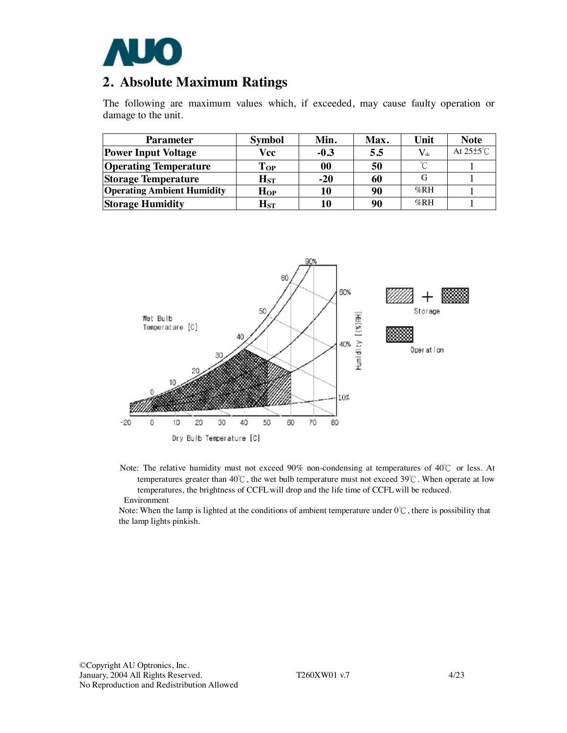

## **2. Absolute Maximum Ratings**

The following are maximum values which, if exceeded, may cause faulty operation or damage to the unit.

| <b>Parameter</b>                  | <b>Symbol</b>              | Min.   | Max. | Unit             | <b>Note</b>           |
|-----------------------------------|----------------------------|--------|------|------------------|-----------------------|
| <b>Power Input Voltage</b>        | Vcc                        | $-0.3$ | 5.5  | $\rm V_{\rm dc}$ | At $25\pm5^{\circ}$ C |
| <b>Operating Temperature</b>      | $\bf Top$                  | 00     | 50   | $\sim$           |                       |
| <b>Storage Temperature</b>        | $\mathbf{H}_{\mathrm{ST}}$ | $-20$  | 60   |                  |                       |
| <b>Operating Ambient Humidity</b> | $H_{OP}$                   | 10     | 90   | %RH              |                       |
| <b>Storage Humidity</b>           | $\mathbf{H}_{\mathrm{ST}}$ | 10     | 90   | %RH              |                       |



Note: The relative humidity must not exceed 90% non-condensing at temperatures of 40℃ or less. At temperatures greater than 40℃, the wet bulb temperature must not exceed 39℃. When operate at low temperatures, the brightness of CCFL will drop and the life time of CCFL will be reduced. Environment

Note: When the lamp is lighted at the conditions of ambient temperature under 0℃, there is possibility that the lamp lights pinkish.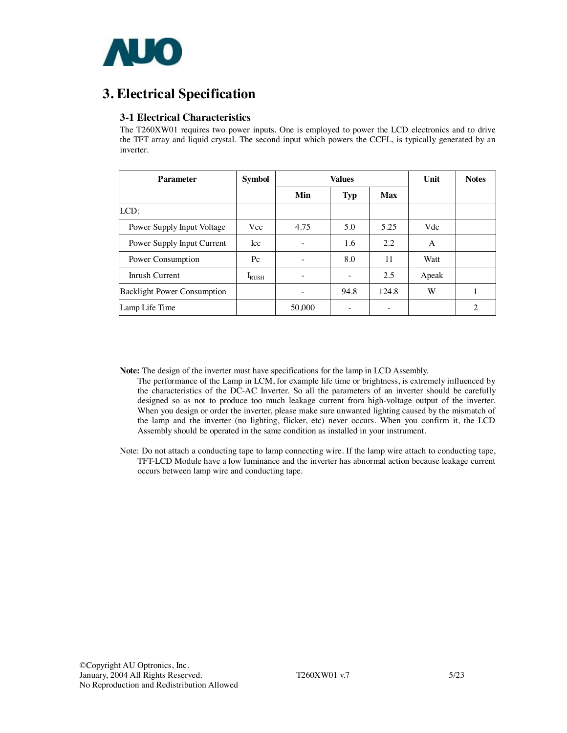

# **3. Electrical Specification**

## **3-1 Electrical Characteristics**

The T260XW01 requires two power inputs. One is employed to power the LCD electronics and to drive the TFT array and liquid crystal. The second input which powers the CCFL, is typically generated by an inverter.

| <b>Parameter</b>                   | <b>Symbol</b> |                          | <b>Values</b> |       | Unit  | <b>Notes</b> |
|------------------------------------|---------------|--------------------------|---------------|-------|-------|--------------|
|                                    |               | Min                      | <b>Typ</b>    | Max   |       |              |
| LCD:                               |               |                          |               |       |       |              |
| Power Supply Input Voltage         | <b>Vcc</b>    | 4.75                     | 5.0           | 5.25  | Vdc   |              |
| Power Supply Input Current         | <b>Icc</b>    | -                        | 1.6           | 2.2   | A     |              |
| Power Consumption                  | $P_{\rm C}$   | $\overline{\phantom{a}}$ | 8.0           | 11    | Watt  |              |
| Inrush Current                     | $I_{RUSH}$    |                          |               | 2.5   | Apeak |              |
| <b>Backlight Power Consumption</b> |               |                          | 94.8          | 124.8 | W     |              |
| Lamp Life Time                     |               | 50,000                   |               | -     |       | 2            |

**Note:** The design of the inverter must have specifications for the lamp in LCD Assembly.

- The performance of the Lamp in LCM, for example life time or brightness, is extremely influenced by the characteristics of the DC-AC Inverter. So all the parameters of an inverter should be carefully designed so as not to produce too much leakage current from high-voltage output of the inverter. When you design or order the inverter, please make sure unwanted lighting caused by the mismatch of the lamp and the inverter (no lighting, flicker, etc) never occurs. When you confirm it, the LCD Assembly should be operated in the same condition as installed in your instrument.
- Note: Do not attach a conducting tape to lamp connecting wire. If the lamp wire attach to conducting tape, TFT-LCD Module have a low luminance and the inverter has abnormal action because leakage current occurs between lamp wire and conducting tape.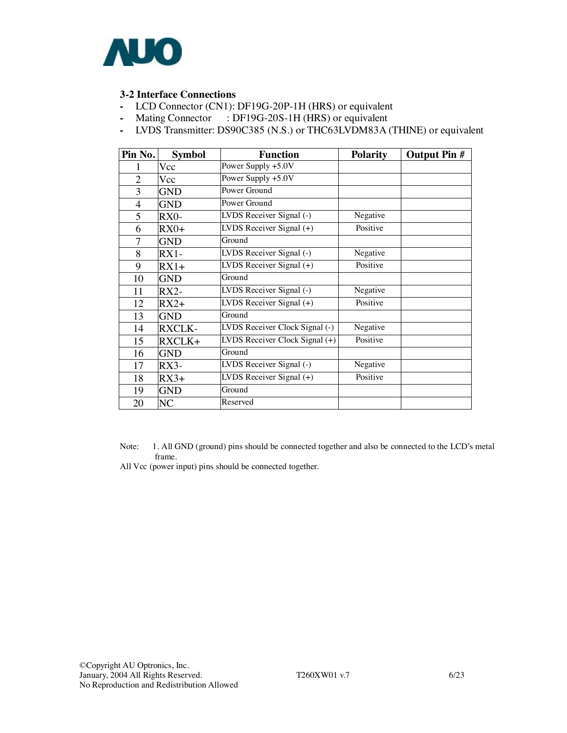

## **3-2 Interface Connections**

- LCD Connector (CN1): DF19G-20P-1H (HRS) or equivalent
- Mating Connector : DF19G-20S-1H (HRS) or equivalent
- LVDS Transmitter: DS90C385 (N.S.) or THC63LVDM83A (THINE) or equivalent

| Pin No.        | <b>Symbol</b> | <b>Function</b>                                | <b>Polarity</b> | <b>Output Pin #</b> |
|----------------|---------------|------------------------------------------------|-----------------|---------------------|
|                | Vcc           | Power Supply +5.0V                             |                 |                     |
| $\overline{2}$ | Vcc           | Power Supply +5.0V                             |                 |                     |
| 3              | <b>GND</b>    | Power Ground                                   |                 |                     |
| $\overline{4}$ | <b>GND</b>    | Power Ground                                   |                 |                     |
| 5              | RX0-          | LVDS Receiver Signal (-)                       | Negative        |                     |
| 6              | $RX0+$        | LVDS Receiver Signal $(+)$                     | Positive        |                     |
| $\overline{7}$ | <b>GND</b>    | Ground                                         |                 |                     |
| 8              | $RX1-$        | LVDS Receiver Signal (-)                       | Negative        |                     |
| 9              | $RX1+$        | LVDS Receiver Signal $(+)$                     | Positive        |                     |
| 10             | <b>GND</b>    | Ground                                         |                 |                     |
| 11             | $RX2-$        | LVDS Receiver Signal (-)                       | Negative        |                     |
| 12             | $RX2+$        | $\overline{\text{LVDS}}$ Receiver Signal $(+)$ | Positive        |                     |
| 13             | <b>GND</b>    | Ground                                         |                 |                     |
| 14             | <b>RXCLK-</b> | LVDS Receiver Clock Signal (-)                 | Negative        |                     |
| 15             | RXCLK+        | LVDS Receiver Clock Signal (+)                 | Positive        |                     |
| 16             | <b>GND</b>    | Ground                                         |                 |                     |
| 17             | $RX3-$        | LVDS Receiver Signal (-)                       | Negative        |                     |
| 18             | $RX3+$        | LVDS Receiver Signal $(+)$                     | Positive        |                     |
| 19             | <b>GND</b>    | Ground                                         |                 |                     |
| 20             | NC            | Reserved                                       |                 |                     |

Note: 1. All GND (ground) pins should be connected together and also be connected to the LCD's metal frame.

All Vcc (power input) pins should be connected together.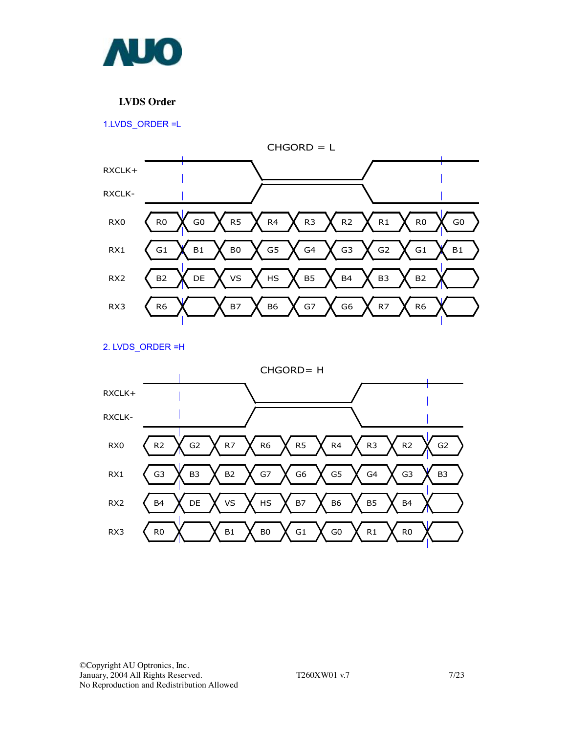

## **LVDS Order**

1.LVDS\_ORDER =L



2. LVDS\_ORDER =H

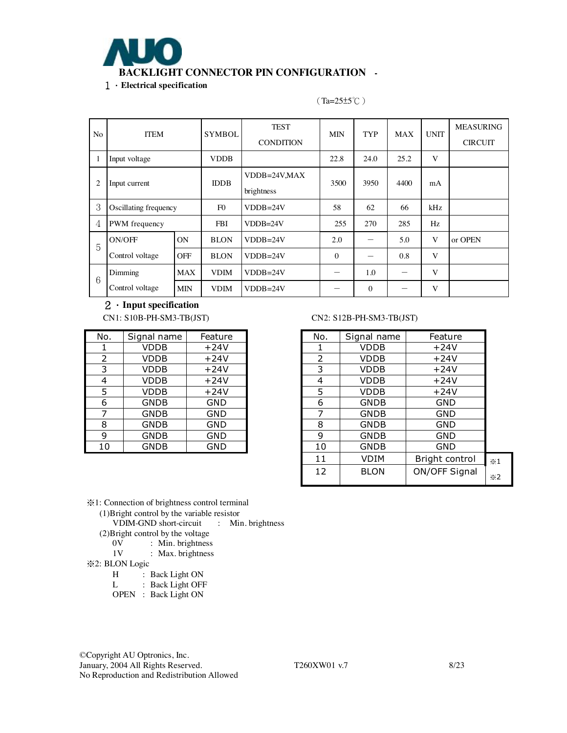

No ITEM SYMBOL TEST **CONDITION** MIN TYP MAX UNIT MEASURING **CIRCUIT** 1 | Input voltage | VDDB | 22.8 | 24.0 | 25.2 | V 2 Input current IDDB VDDB=24V,MAX brightness 3500 3950 4400 mA  $3$  Oscillating frequency F0 VDDB=24V 58 62 66 kHz 4 PWM frequency FBI VDDB=24V 255 270 285 Hz ON BLON VDDB=24V 2.0 - 5.0 V or OPEN 5 ON/OFF Control voltage OFF BLON VDDB=24V  $\vert$  0  $\vert$  - 0.8 V  $\begin{array}{|c|c|c|c|c|c|}\n\hline\n\end{array}$  MAX VDIM VDDB=24V - 1.0 - V Dimming Control voltage MIN VDIM VDDB=24V  $-$  0  $-$  V

## (Ta=25±5℃)

2.**Input specification** 

| No. | Signal name | Feature    |
|-----|-------------|------------|
| 1   | <b>VDDB</b> | $+24V$     |
| 2   | <b>VDDB</b> | $+24V$     |
| 3   | <b>VDDB</b> | $+24V$     |
| 4   | <b>VDDB</b> | $+24V$     |
| 5   | <b>VDDB</b> | $+24V$     |
| 6   | <b>GNDB</b> | <b>GND</b> |
| 7   | <b>GNDB</b> | <b>GND</b> |
| 8   | <b>GNDB</b> | <b>GND</b> |
| 9   | <b>GNDB</b> | <b>GND</b> |
| 10  | <b>GNDB</b> | GND        |

#### CN1: S10B-PH-SM3-TB(JST) CN2: S12B-PH-SM3-TB(JST)

| Feature    | No. | Signal name | Feature        |                    |
|------------|-----|-------------|----------------|--------------------|
| $+24V$     |     | <b>VDDB</b> | $+24V$         |                    |
| $+24V$     | 2   | VDDB        | $+24V$         |                    |
| $+24V$     | 3   | <b>VDDB</b> | $+24V$         |                    |
| $+24V$     | 4   | VDDB        | $+24V$         |                    |
| $+24V$     | 5   | <b>VDDB</b> | $+24V$         |                    |
| <b>GND</b> | 6   | <b>GNDB</b> | <b>GND</b>     |                    |
| <b>GND</b> | 7   | <b>GNDB</b> | <b>GND</b>     |                    |
| <b>GND</b> | 8   | <b>GNDB</b> | <b>GND</b>     |                    |
| <b>GND</b> | 9   | <b>GNDB</b> | <b>GND</b>     |                    |
| <b>GND</b> | 10  | <b>GNDB</b> | GND            |                    |
|            | 11  | <b>VDIM</b> | Bright control | $\times 1$         |
|            | 12  | <b>BLON</b> | ON/OFF Signal  | $\divideontimes$ 2 |

※1: Connection of brightness control terminal

(1)Bright control by the variable resistor

VDIM-GND short-circuit : Min. brightness

(2) Bright control by the voltage  $0V$ : Min. brightness

- 0V : Min. brightness<br>1V : Max. brightness
- : Max. brightness
- ※2: BLON Logic

H : Back Light ON<br>L : Back Light OFF

: Back Light OFF

OPEN : Back Light ON

©Copyright AU Optronics, Inc. January, 2004 All Rights Reserved. T260XW01 v.7 8/23 No Reproduction and Redistribution Allowed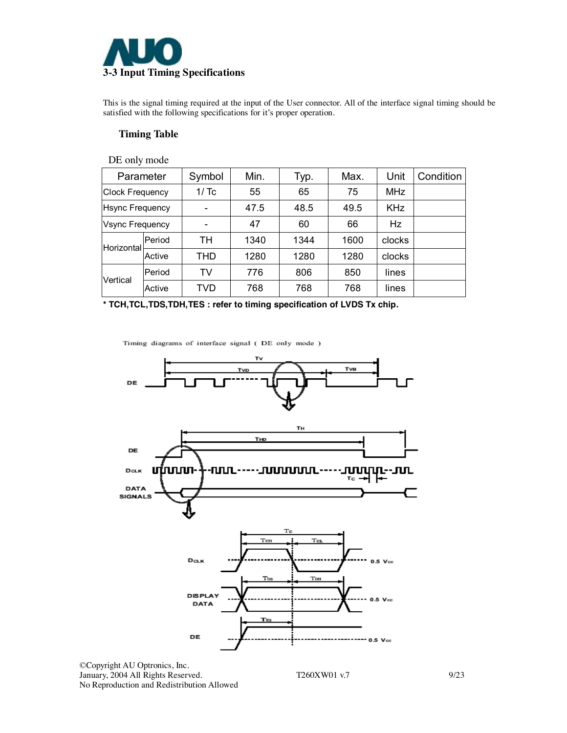

This is the signal timing required at the input of the User connector. All of the interface signal timing should be satisfied with the following specifications for it's proper operation.

### **Timing Table**

| DE only mode           |        |            |      |      |      |            |           |
|------------------------|--------|------------|------|------|------|------------|-----------|
| Parameter              |        | Symbol     | Min. | Typ. | Max. | Unit       | Condition |
| <b>Clock Frequency</b> |        | 1/Tc       | 55   | 65   | 75   | <b>MHz</b> |           |
| <b>Hsync Frequency</b> |        |            | 47.5 | 48.5 | 49.5 | <b>KHz</b> |           |
| <b>Vsync Frequency</b> |        |            | 47   | 60   | 66   | <b>Hz</b>  |           |
| Horizontal             | Period | TН         | 1340 | 1344 | 1600 | clocks     |           |
|                        | Active | THD        | 1280 | 1280 | 1280 | clocks     |           |
| Vertical               | Period | TV         | 776  | 806  | 850  | lines      |           |
|                        | Active | <b>TVD</b> | 768  | 768  | 768  | lines      |           |

**\* TCH,TCL,TDS,TDH,TES : refer to timing specification of LVDS Tx chip.**

Timing diagrams of interface signal (DE only mode )



©Copyright AU Optronics, Inc. January, 2004 All Rights Reserved. T260XW01 v.7 9/23 No Reproduction and Redistribution Allowed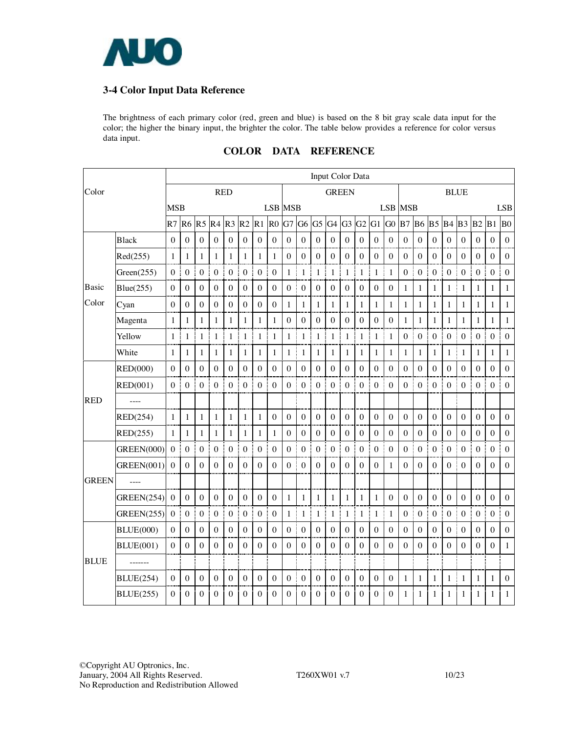

## **3-4 Color Input Data Reference**

The brightness of each primary color (red, green and blue) is based on the 8 bit gray scale data input for the color; the higher the binary input, the brighter the color. The table below provides a reference for color versus data input.

|              |                   | Input Color Data |                  |                  |                  |                       |                  |                   |                   |                  |                  |                  |                  |                  |                  |                   |                  |                        |                  |                        |                  |                  |                       |                  |                  |
|--------------|-------------------|------------------|------------------|------------------|------------------|-----------------------|------------------|-------------------|-------------------|------------------|------------------|------------------|------------------|------------------|------------------|-------------------|------------------|------------------------|------------------|------------------------|------------------|------------------|-----------------------|------------------|------------------|
| Color        |                   |                  |                  |                  |                  | <b>RED</b>            |                  |                   |                   |                  |                  |                  | <b>GREEN</b>     |                  |                  |                   |                  |                        |                  |                        |                  | <b>BLUE</b>      |                       |                  |                  |
|              |                   | <b>MSB</b>       |                  |                  |                  |                       |                  |                   | <b>LSB MSB</b>    |                  |                  |                  |                  |                  |                  |                   |                  | <b>LSB MSB</b>         |                  |                        |                  |                  |                       |                  | <b>LSB</b>       |
|              |                   | R7               | R <sub>6</sub>   | R <sub>5</sub>   | R4               | R <sub>3</sub>        | R2               | R1                | R <sub>0</sub>    | G7               | G <sub>6</sub>   | G <sub>5</sub>   | G <sub>4</sub>   | $G3$ $G2$        |                  | G <sub>1</sub>    | G <sub>0</sub>   | B <sub>7</sub>         | B <sub>6</sub>   | B <sub>5</sub>         | B4               | B <sub>3</sub>   | B <sub>2</sub>        | B1               | B <sub>0</sub>   |
|              | Black             | $\boldsymbol{0}$ | $\boldsymbol{0}$ | $\boldsymbol{0}$ | $\mathbf{0}$     | $\boldsymbol{0}$      | $\boldsymbol{0}$ | $\mathbf{0}$<br>j | $\boldsymbol{0}$  | $\boldsymbol{0}$ | $\boldsymbol{0}$ | $\boldsymbol{0}$ | $\boldsymbol{0}$ | $\boldsymbol{0}$ | $\boldsymbol{0}$ | $\boldsymbol{0}$  | $\boldsymbol{0}$ | $\boldsymbol{0}$       | $\boldsymbol{0}$ | $\boldsymbol{0}$       | $\boldsymbol{0}$ | $\boldsymbol{0}$ | $\boldsymbol{0}$      | $\boldsymbol{0}$ | $\boldsymbol{0}$ |
|              | Red(255)          | 1                | 1                | $\mathbf{1}$     | 1                | 1                     | 1                | $\mathbf{1}$      | $\mathbf{1}$      | $\theta$         | $\theta$         | $\theta$         | $\theta$         | $\theta$         | $\theta$         | $\theta$          | $\theta$         | $\theta$               | $\mathbf{0}$     | $\theta$               | $\theta$         | $\Omega$         | $\theta$              | $\Omega$         | $\theta$         |
|              | Green(255)        | $\theta$         | $\boldsymbol{0}$ | $\boldsymbol{0}$ | $\boldsymbol{0}$ | I<br>$\boldsymbol{0}$ | $\boldsymbol{0}$ | $\boldsymbol{0}$  | Ī<br>$\mathbf{0}$ | $\mathbf{1}$     | 1                | 1                | $\mathbf{1}$     | $\mathbf{1}$     | $\mathbf{1}$     | $\mathbf{1}$      | $\mathbf{1}$     | j<br>$\boldsymbol{0}$  | $\boldsymbol{0}$ | I<br>$\boldsymbol{0}$  | $\boldsymbol{0}$ | $\boldsymbol{0}$ | $\mathbf{0}$<br>ţ     | $\boldsymbol{0}$ | $\mathbf{0}$     |
| <b>Basic</b> | Blue(255)         | $\boldsymbol{0}$ | $\mathbf{0}$     | $\boldsymbol{0}$ | $\boldsymbol{0}$ | $\boldsymbol{0}$      | $\mathbf{0}$     | $\boldsymbol{0}$  | $\boldsymbol{0}$  | $\boldsymbol{0}$ | $\boldsymbol{0}$ | $\mathbf{0}$     | $\boldsymbol{0}$ | $\mathbf{0}$     | $\boldsymbol{0}$ | $\boldsymbol{0}$  | $\mathbf{0}$     | $\mathbf{1}$           | $\mathbf{1}$     | $\mathbf{1}$           | $\mathbf{1}$     | 1                | $\mathbf{1}$          | $\mathbf{1}$     | $\mathbf{1}$     |
| Color        | Cyan              | $\mathbf{0}$     | $\boldsymbol{0}$ | $\boldsymbol{0}$ | $\boldsymbol{0}$ | $\boldsymbol{0}$      | $\boldsymbol{0}$ | $\boldsymbol{0}$  | $\boldsymbol{0}$  | $\mathbf{1}$     | $\mathbf{1}$     | $\mathbf{1}$     | $\mathbf{1}$     | $\mathbf{1}$     | $\mathbf{1}$     | $\mathbf{1}$      | $\mathbf{1}$     | $\mathbf{1}$<br>Ť      | $\mathbf{1}$     | $\mathbf{1}$<br>j      | $\mathbf{1}$     | 1                | $\mathbf{1}$          | $\mathbf{1}$     | $\mathbf{1}$     |
|              | Magenta           | 1                | 1                | $\mathbf{1}$     | 1                | 1                     | $\mathbf{1}$     | $\mathbf{1}$      | $\mathbf{1}$      | $\mathbf{0}$     | $\boldsymbol{0}$ | $\boldsymbol{0}$ | $\boldsymbol{0}$ | $\mathbf{0}$     | $\boldsymbol{0}$ | $\theta$          | $\theta$         | 1                      | $\mathbf{1}$     | 1                      | 1                | $\mathbf{1}$     | $\mathbf{1}$          | 1                | $\mathbf{1}$     |
|              | Yellow            | 1                | 1                | $\mathbf{1}$     | $\mathbf{1}$     | Ī<br>$\mathbf{1}$     | 1                | $\mathbf{1}$      | $\mathbf{1}$      | 1                | $\mathbf{1}$     | $\mathbf{1}$     | $\mathbf{1}$     | $\mathbf{1}$     | $\mathbf{1}$     | $\mathbf{1}$      | $\mathbf{1}$     | $\boldsymbol{0}$<br>j  | $\mathbf{0}$     | $\boldsymbol{0}$<br>t  | $\mathbf{0}$     | $\theta$         | $\boldsymbol{0}$<br>Ī | $\boldsymbol{0}$ | $\mathbf{0}$     |
|              | White             | 1                | 1                | $\mathbf{1}$     | 1                | 1                     | $\mathbf{1}$     | $\mathbf{1}$      | $\mathbf{1}$      | $\mathbf{1}$     | $\mathbf{1}$     | 1                | 1                | 1                | $\mathbf{1}$     | 1                 | $\mathbf{1}$     | 1                      | $\mathbf{1}$     | 1                      | $\mathbf{1}$     | 1                | $\mathbf{1}$          | 1                | $\mathbf{1}$     |
|              | <b>RED(000)</b>   | $\theta$         | $\boldsymbol{0}$ | $\Omega$         | $\Omega$         | $\theta$              | $\Omega$         | $\mathbf{0}$      | $\boldsymbol{0}$  | $\boldsymbol{0}$ | $\boldsymbol{0}$ | $\boldsymbol{0}$ | $\boldsymbol{0}$ | $\theta$         | $\boldsymbol{0}$ | $\overline{0}$    | $\mathbf{0}$     | $\theta$               | $\boldsymbol{0}$ | $\theta$               | $\mathbf{0}$     | $\theta$         | $\mathbf{0}$          | $\Omega$         | $\mathbf{0}$     |
|              | <b>RED(001)</b>   | $\theta$         | $\mathbf{0}$     | $\theta$         | $\overline{0}$   | $\boldsymbol{0}$<br>t | $\theta$         | $\mathbf{0}$      | $\mathbf{0}$<br>t | $\theta$<br>I    | $\mathbf{0}$     | $\boldsymbol{0}$ | $\mathbf{0}$     | $\boldsymbol{0}$ | $\boldsymbol{0}$ | $\mathbf{0}$      | $\mathbf{0}$     | $\boldsymbol{0}$<br>j  | $\boldsymbol{0}$ | $\boldsymbol{0}$<br>I  | $\mathbf{0}$     | $\Omega$         | $\boldsymbol{0}$      | $\boldsymbol{0}$ | $\theta$         |
| <b>RED</b>   | ----              |                  |                  |                  |                  |                       |                  |                   |                   |                  |                  |                  |                  |                  |                  |                   |                  |                        |                  |                        |                  |                  |                       |                  |                  |
|              | RED(254)          | 1                | $\mathbf{1}$     | $\mathbf{1}$     | $\mathbf{1}$     | $\mathbf{1}$          | $\mathbf{1}$     | $\mathbf{1}$      | $\boldsymbol{0}$  | $\theta$         | $\mathbf{0}$     | $\boldsymbol{0}$ | $\boldsymbol{0}$ | $\boldsymbol{0}$ | $\boldsymbol{0}$ | $\mathbf{0}$      | $\mathbf{0}$     | $\boldsymbol{0}$       | $\boldsymbol{0}$ | $\boldsymbol{0}$       | $\mathbf{0}$     | $\theta$         | $\boldsymbol{0}$      | $\boldsymbol{0}$ | $\mathbf{0}$     |
|              | RED(255)          | $\mathbf{1}$     | 1                | $\mathbf 1$      | $\mathbf{1}$     | $\mathbf{1}$          | $\mathbf{1}$     | $\mathbf{1}$      | $\mathbf{1}$      | $\boldsymbol{0}$ | $\boldsymbol{0}$ | $\boldsymbol{0}$ | $\boldsymbol{0}$ | $\boldsymbol{0}$ | $\boldsymbol{0}$ | $\mathbf{0}$      | $\mathbf{0}$     | $\boldsymbol{0}$       | $\boldsymbol{0}$ | $\boldsymbol{0}$       | $\boldsymbol{0}$ | $\boldsymbol{0}$ | $\boldsymbol{0}$      | $\boldsymbol{0}$ | $\mathbf{0}$     |
|              | <b>GREEN(000)</b> | $\theta$         | $\boldsymbol{0}$ | $\boldsymbol{0}$ | $\boldsymbol{0}$ | j<br>$\boldsymbol{0}$ | $\theta$         | $\mathbf{0}$      | Ī<br>$\mathbf{0}$ | $\mathbf{0}$     | $\Omega$         | $\mathbf{0}$     | $\boldsymbol{0}$ | $\theta$         | $\boldsymbol{0}$ | $\mathbf{0}$      | $\mathbf{0}$     | Į<br>$\theta$          | $\boldsymbol{0}$ | j<br>$\theta$          | $\mathbf{0}$     | $\theta$         | $\boldsymbol{0}$      | $\boldsymbol{0}$ | $\theta$         |
|              | <b>GREEN(001)</b> | $\theta$         | $\boldsymbol{0}$ | $\mathbf{0}$     | $\overline{0}$   | $\boldsymbol{0}$      | $\boldsymbol{0}$ | $\mathbf{0}$      | $\boldsymbol{0}$  | $\boldsymbol{0}$ | $\boldsymbol{0}$ | $\theta$         | $\boldsymbol{0}$ | $\boldsymbol{0}$ | $\boldsymbol{0}$ | $\mathbf{0}$      | $\mathbf{1}$     | $\boldsymbol{0}$       | $\boldsymbol{0}$ | $\boldsymbol{0}$       | $\boldsymbol{0}$ | $\mathbf{0}$     | $\boldsymbol{0}$      | $\boldsymbol{0}$ | $\mathbf{0}$     |
| <b>GREEN</b> |                   |                  |                  |                  |                  |                       |                  |                   |                   |                  |                  |                  |                  |                  |                  |                   |                  |                        |                  |                        |                  |                  |                       |                  |                  |
|              | <b>GREEN(254)</b> | $\mathbf{0}$     | $\boldsymbol{0}$ | $\boldsymbol{0}$ | $\boldsymbol{0}$ | $\mathbf{0}$          | $\boldsymbol{0}$ | $\boldsymbol{0}$  | $\boldsymbol{0}$  | $\mathbf{1}$     | $\mathbf{1}$     | $\mathbf{1}$     | 1                | $\mathbf{1}$     | $\mathbf{1}$     | $\mathbf{1}$      | $\mathbf{0}$     | $\mathbf{0}$           | $\boldsymbol{0}$ | $\boldsymbol{0}$       | $\boldsymbol{0}$ | $\theta$         | $\boldsymbol{0}$      | $\boldsymbol{0}$ | $\mathbf{0}$     |
|              | <b>GREEN(255)</b> | $\boldsymbol{0}$ | $\boldsymbol{0}$ | $\boldsymbol{0}$ | $\boldsymbol{0}$ | ŧ<br>$\boldsymbol{0}$ | $\boldsymbol{0}$ | ł<br>$\mathbf{0}$ | $\mathbf{0}$      | $\mathbf{1}$     | $\mathbf{1}$     | $\mathbf{1}$     | $\mathbf{1}$     | $\mathbf{1}$     | $\mathbf{1}$     | $\mathbf{1}$<br>I | $\mathbf{1}$     | j.<br>$\boldsymbol{0}$ | $\boldsymbol{0}$ | j.<br>$\boldsymbol{0}$ | $\boldsymbol{0}$ | $\boldsymbol{0}$ | $\boldsymbol{0}$<br>j | $\boldsymbol{0}$ | $\mathbf{0}$     |
|              | <b>BLUE(000)</b>  | $\Omega$         | $\boldsymbol{0}$ | $\boldsymbol{0}$ | $\mathbf{0}$     | $\boldsymbol{0}$      | $\boldsymbol{0}$ | $\boldsymbol{0}$  | $\boldsymbol{0}$  | $\boldsymbol{0}$ | $\boldsymbol{0}$ | $\boldsymbol{0}$ | $\boldsymbol{0}$ | $\mathbf{0}$     | $\boldsymbol{0}$ | $\mathbf{0}$      | $\mathbf{0}$     | $\boldsymbol{0}$       | $\boldsymbol{0}$ | $\mathbf{0}$           | $\boldsymbol{0}$ | $\boldsymbol{0}$ | $\boldsymbol{0}$      | $\boldsymbol{0}$ | $\mathbf{0}$     |
|              | <b>BLUE(001)</b>  | $\theta$         | $\overline{0}$   | $\mathbf{0}$     | $\boldsymbol{0}$ | $\boldsymbol{0}$      | $\overline{0}$   | $\boldsymbol{0}$  | $\theta$          | $\theta$         | $\boldsymbol{0}$ | $\mathbf{0}$     | $\boldsymbol{0}$ | $\boldsymbol{0}$ | $\boldsymbol{0}$ | $\mathbf{0}$      | $\mathbf{0}$     | $\mathbf{0}$           | $\boldsymbol{0}$ | $\mathbf{0}$           | $\boldsymbol{0}$ | $\theta$         | $\boldsymbol{0}$      | $\mathbf{0}$     | $\mathbf{1}$     |
| <b>BLUE</b>  | --------          |                  |                  |                  |                  |                       |                  |                   |                   |                  |                  |                  |                  |                  |                  |                   |                  |                        |                  |                        |                  |                  |                       |                  |                  |
|              | <b>BLUE(254)</b>  | $\Omega$         | $\mathbf{0}$     | $\mathbf{0}$     | $\theta$         | $\Omega$              | $\mathbf{0}$     | $\theta$          | $\theta$          | $\theta$         | $\mathbf{0}$     | $\mathbf{0}$     | $\theta$         | $\theta$         | $\mathbf{0}$     | $\boldsymbol{0}$  | $\theta$         | 1                      | $\mathbf{1}$     | 1                      | 1                | 1                | 1                     | 1                | $\boldsymbol{0}$ |
|              | <b>BLUE(255)</b>  | $\mathbf{0}$     | $\overline{0}$   | $\mathbf{0}$     | $\overline{0}$   | $\boldsymbol{0}$      | $\boldsymbol{0}$ | $\boldsymbol{0}$  | $\boldsymbol{0}$  | $\mathbf{0}$     | $\mathbf{0}$     | $\overline{0}$   | $\boldsymbol{0}$ | $\boldsymbol{0}$ | $\boldsymbol{0}$ | $\boldsymbol{0}$  | $\mathbf{0}$     | 1                      | $\mathbf{1}$     | 1                      | $\mathbf{1}$     | 1                | $\mathbf{1}$          | 1                | $\mathbf{1}$     |

## **COLOR DATA REFERENCE**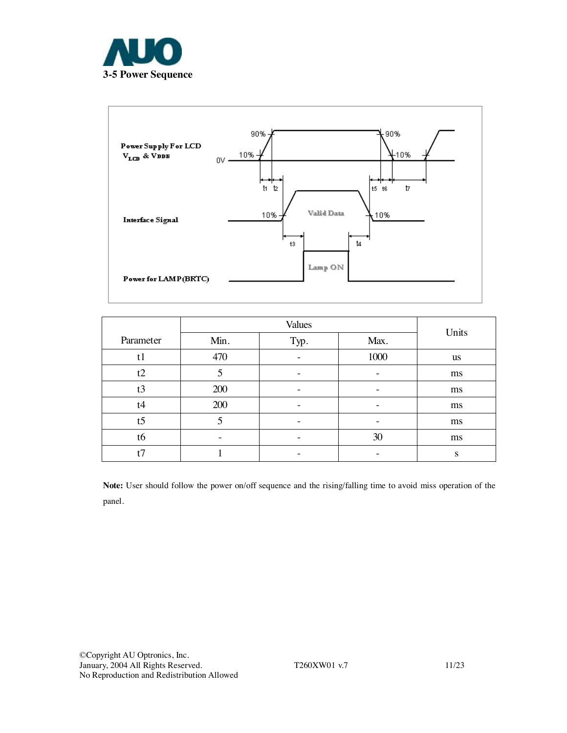



|                |      | Units |      |           |
|----------------|------|-------|------|-----------|
| Parameter      | Min. | Typ.  | Max. |           |
| t1             | 470  |       | 1000 | <b>us</b> |
| t2             | 5    | -     |      | ms        |
| t3             | 200  |       |      | ms        |
| t4             | 200  |       |      | ms        |
| t <sub>5</sub> | 5    |       |      | ms        |
| t6             | -    |       | 30   | ms        |
| t7             |      |       |      | S         |

**Note:** User should follow the power on/off sequence and the rising/falling time to avoid miss operation of the panel.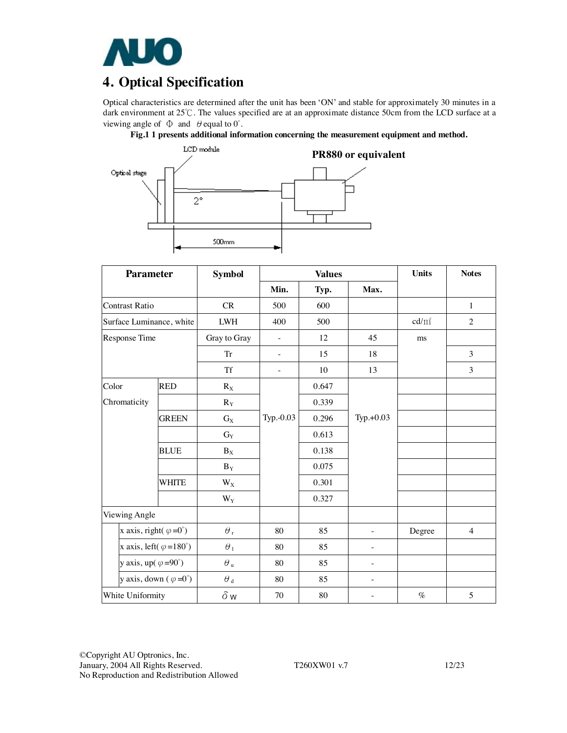

# **4. Optical Specification**

Optical characteristics are determined after the unit has been 'ON' and stable for approximately 30 minutes in a dark environment at 25℃. The values specified are at an approximate distance 50cm from the LCD surface at a viewing angle of  $\Phi$  and  $\theta$  equal to  $0^{\circ}$ .

**Fig.1 1 presents additional information concerning the measurement equipment and method.** 



| <b>Parameter</b>                   |                                        | <b>Symbol</b>           |                          | <b>Values</b> |                          | <b>Units</b>    | <b>Notes</b>   |
|------------------------------------|----------------------------------------|-------------------------|--------------------------|---------------|--------------------------|-----------------|----------------|
|                                    |                                        |                         | Min.                     | Typ.          | Max.                     |                 |                |
| <b>Contrast Ratio</b>              |                                        | CR                      | 500                      | 600           |                          |                 | 1              |
| Surface Luminance, white           |                                        | ${\rm LWH}$             | 400                      | 500           |                          | $\text{cd/m}^2$ | $\overline{2}$ |
| Response Time                      |                                        | Gray to Gray            | $\overline{\phantom{a}}$ | 12            | 45                       | ms              |                |
|                                    |                                        | <b>Tr</b>               | ÷,                       | 15            | 18                       |                 | 3              |
|                                    |                                        | <b>Tf</b>               | $\overline{\phantom{m}}$ | 10            | 13                       |                 | 3              |
| Color                              | <b>RED</b>                             | $R_X$                   |                          | 0.647         |                          |                 |                |
| Chromaticity                       |                                        | $R_Y$                   |                          | 0.339         |                          |                 |                |
|                                    | <b>GREEN</b>                           | $G_X$                   | Typ.-0.03                | 0.296         | $Typ.+0.03$              |                 |                |
|                                    |                                        | $G_Y$                   |                          | 0.613         |                          |                 |                |
|                                    | <b>BLUE</b>                            | $\mathbf{B}_\mathrm{X}$ |                          | 0.138         |                          |                 |                |
|                                    |                                        | $\mathbf{B}_\mathbf{Y}$ |                          | 0.075         |                          |                 |                |
|                                    | WHITE                                  | $W_X$                   |                          | 0.301         |                          |                 |                |
|                                    |                                        | $W_Y$                   |                          | 0.327         |                          |                 |                |
| Viewing Angle                      |                                        |                         |                          |               |                          |                 |                |
|                                    | x axis, right( $\varphi = 0^{\circ}$ ) | $\theta_{\rm r}$        | 80                       | 85            | L,                       | Degree          | $\overline{4}$ |
|                                    | x axis, left( $\varphi = 180^\circ$ )  | $\theta_1$              | 80                       | 85            | -                        |                 |                |
| y axis, up( $\varphi = 90^\circ$ ) |                                        | $\theta$ u              | 80                       | 85            | ÷,                       |                 |                |
|                                    | y axis, down $(\varphi = 0^{\circ})$   | $\theta$ $_{\rm d}$     | 80                       | 85            | $\overline{\phantom{0}}$ |                 |                |
| White Uniformity                   |                                        | $\delta$ w              | 70                       | 80            | $\overline{\phantom{0}}$ | $\%$            | $\sqrt{5}$     |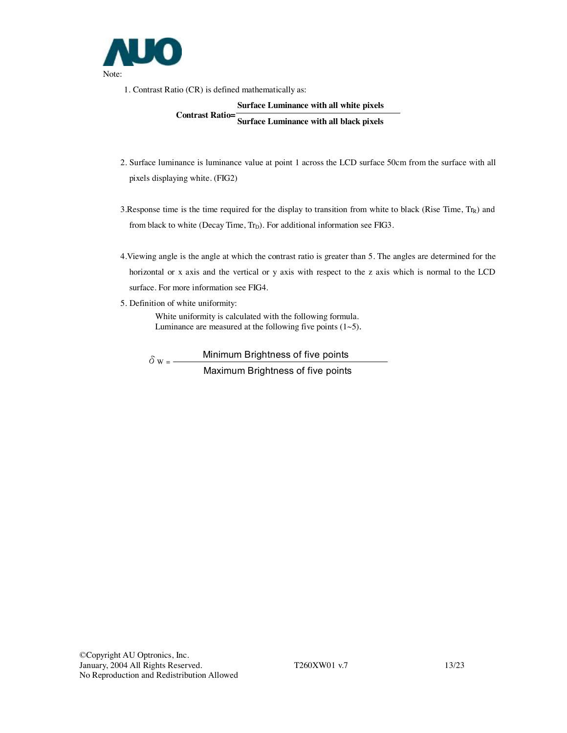

1. Contrast Ratio (CR) is defined mathematically as:

## **Surface Luminance with all white pixels Contrast Ratio= Surface Luminance with all black pixels**

- 2. Surface luminance is luminance value at point 1 across the LCD surface 50cm from the surface with all pixels displaying white. (FIG2)
- 3. Response time is the time required for the display to transition from white to black (Rise Time,  $Tr_R$ ) and from black to white (Decay Time,  $Tr_D$ ). For additional information see FIG3.
- 4.Viewing angle is the angle at which the contrast ratio is greater than 5. The angles are determined for the horizontal or x axis and the vertical or y axis with respect to the z axis which is normal to the LCD surface. For more information see FIG4.
- 5. Definition of white uniformity:

White uniformity is calculated with the following formula. Luminance are measured at the following five points  $(1~5)$ .

 $\delta w =$  Minimum Brightness of five points Maximum Brightness of five points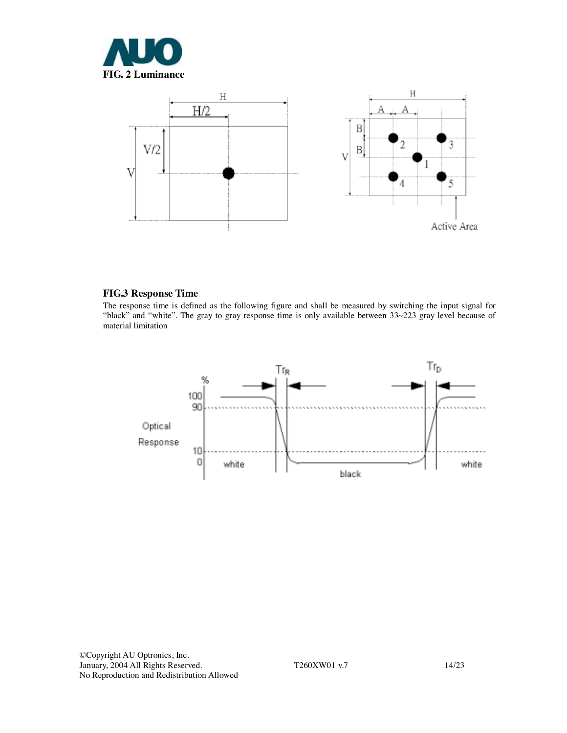



### **FIG.3 Response Time**

The response time is defined as the following figure and shall be measured by switching the input signal for "black" and "white". The gray to gray response time is only available between 33~223 gray level because of material limitation

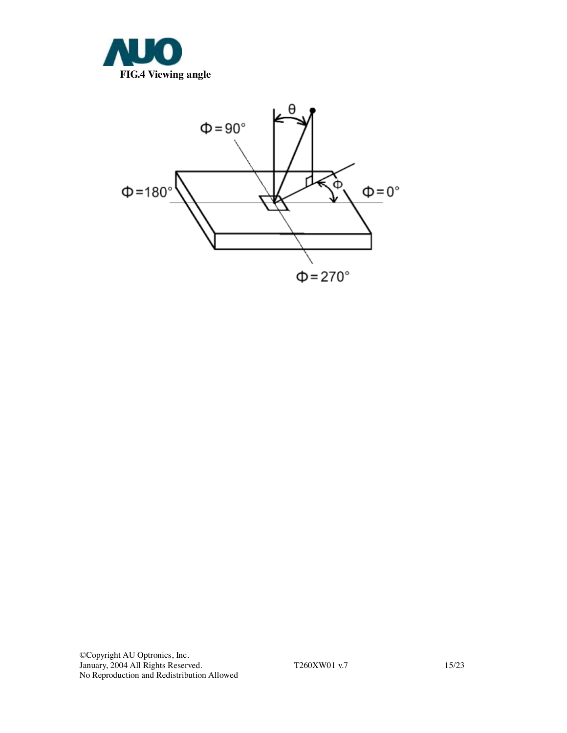

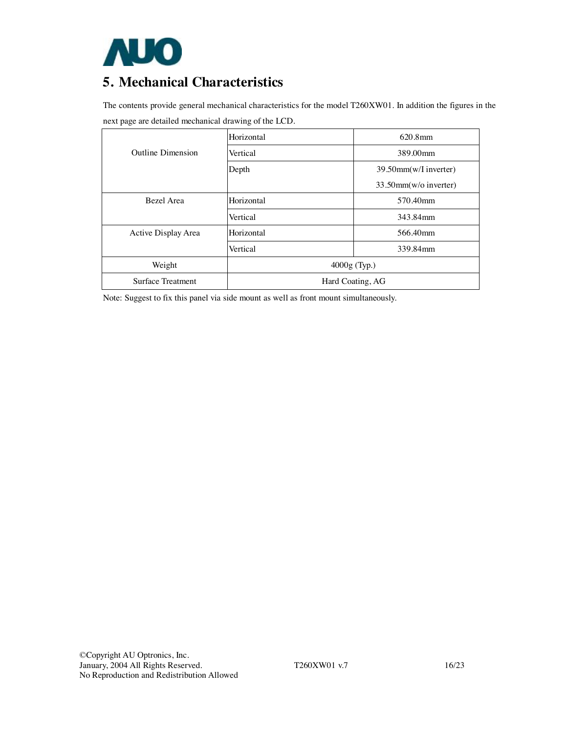

# **5. Mechanical Characteristics**

The contents provide general mechanical characteristics for the model T260XW01. In addition the figures in the next page are detailed mechanical drawing of the LCD.

|                          | Horizontal       | $620.8$ mm               |
|--------------------------|------------------|--------------------------|
| <b>Outline Dimension</b> | Vertical         | 389.00mm                 |
|                          | Depth            | 39.50mm(w/I inverter)    |
|                          |                  | $33.50$ mm(w/o inverter) |
| Bezel Area               | Horizontal       | 570.40mm                 |
|                          | Vertical         | 343.84mm                 |
| Active Display Area      | Horizontal       | 566.40mm                 |
|                          | Vertical         | 339.84mm                 |
| Weight                   | $4000g$ (Typ.)   |                          |
| <b>Surface Treatment</b> | Hard Coating, AG |                          |

Note: Suggest to fix this panel via side mount as well as front mount simultaneously.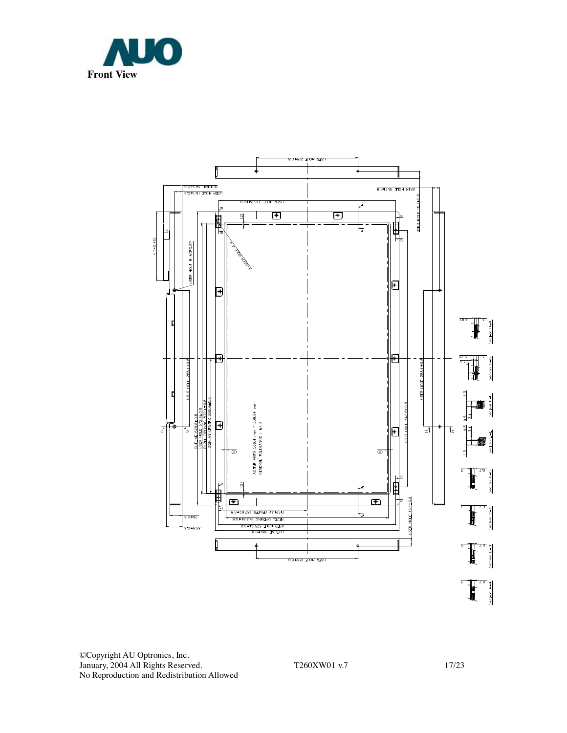



©Copyright AU Optronics, Inc. January, 2004 All Rights Reserved. T260XW01 v.7 17/23 No Reproduction and Redistribution Allowed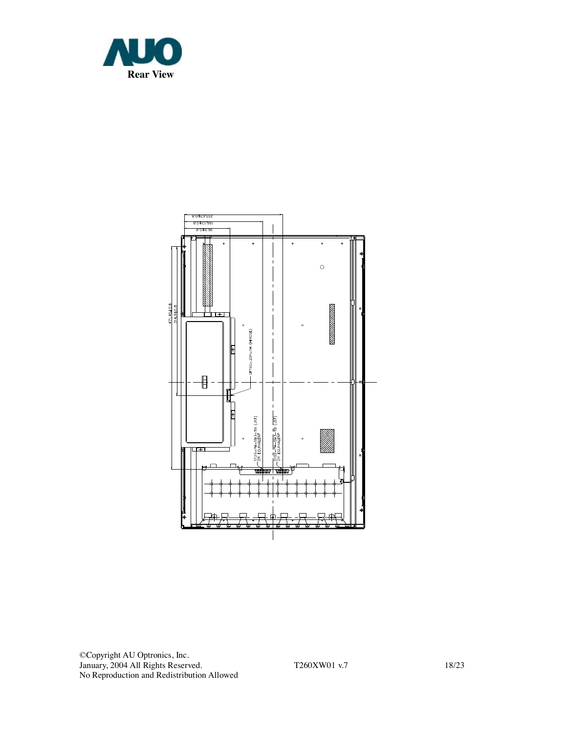

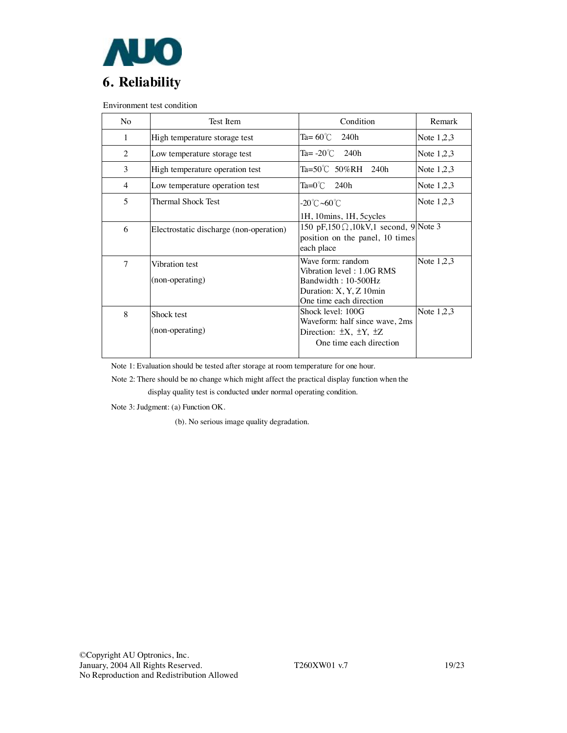

Environment test condition

| No. | Test Item                               | Condition                                      | Remark       |
|-----|-----------------------------------------|------------------------------------------------|--------------|
| 1   | High temperature storage test           | Ta= $60^{\circ}$ C<br>240h                     | Note $1,2,3$ |
| 2   | Low temperature storage test            | Ta= $-20^{\circ}$ C 240h                       | Note $1,2,3$ |
| 3   | High temperature operation test         | Ta=50℃ 50%RH 240h                              | Note $1,2,3$ |
| 4   | Low temperature operation test          | $Ta=0^{\circ}$ C 240h                          | Note $1,2,3$ |
| 5   | Thermal Shock Test                      | $-20^{\circ}$ C $\sim$ 60 $^{\circ}$ C         | Note $1,2,3$ |
|     |                                         | 1H, 10 mins, 1H, 5 cycles                      |              |
| 6   | Electrostatic discharge (non-operation) | 150 pF,150 $\Omega$ ,10kV,1 second, 9 Note 3   |              |
|     |                                         | position on the panel, 10 times<br>each place  |              |
| 7   | Vibration test                          | Wave form: random<br>Vibration level: 1.0G RMS | Note $1,2,3$ |
|     | (non-operating)                         | Bandwidth: 10-500Hz                            |              |
|     |                                         | Duration: X, Y, Z 10min                        |              |
|     |                                         | One time each direction                        |              |
| 8   | Shock test                              | Shock level: 100G                              | Note $1,2,3$ |
|     |                                         | Waveform: half since wave, 2ms                 |              |
|     | (non-operating)                         | Direction: $\pm X$ , $\pm Y$ , $\pm Z$         |              |
|     |                                         | One time each direction                        |              |
|     |                                         |                                                |              |

Note 1: Evaluation should be tested after storage at room temperature for one hour.

Note 2: There should be no change which might affect the practical display function when the

display quality test is conducted under normal operating condition.

Note 3: Judgment: (a) Function OK.

(b). No serious image quality degradation.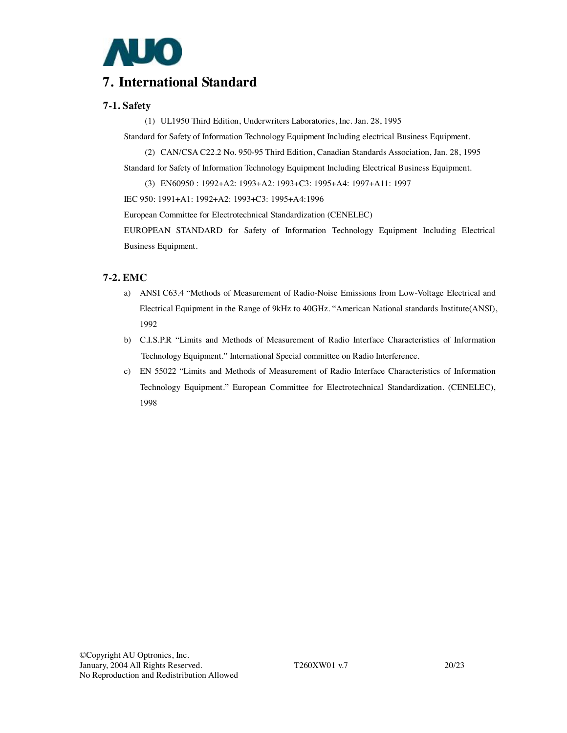

## **7. International Standard**

### **7-1. Safety**

(1) UL1950 Third Edition, Underwriters Laboratories, Inc. Jan. 28, 1995

Standard for Safety of Information Technology Equipment Including electrical Business Equipment.

(2) CAN/CSA C22.2 No. 950-95 Third Edition, Canadian Standards Association, Jan. 28, 1995

Standard for Safety of Information Technology Equipment Including Electrical Business Equipment.

(3) EN60950 : 1992+A2: 1993+A2: 1993+C3: 1995+A4: 1997+A11: 1997

IEC 950: 1991+A1: 1992+A2: 1993+C3: 1995+A4:1996

European Committee for Electrotechnical Standardization (CENELEC)

EUROPEAN STANDARD for Safety of Information Technology Equipment Including Electrical Business Equipment.

## **7-2. EMC**

- a) ANSI C63.4 "Methods of Measurement of Radio-Noise Emissions from Low-Voltage Electrical and Electrical Equipment in the Range of 9kHz to 40GHz. "American National standards Institute(ANSI), 1992
- b) C.I.S.P.R "Limits and Methods of Measurement of Radio Interface Characteristics of Information Technology Equipment." International Special committee on Radio Interference.
- c) EN 55022 "Limits and Methods of Measurement of Radio Interface Characteristics of Information Technology Equipment." European Committee for Electrotechnical Standardization. (CENELEC), 1998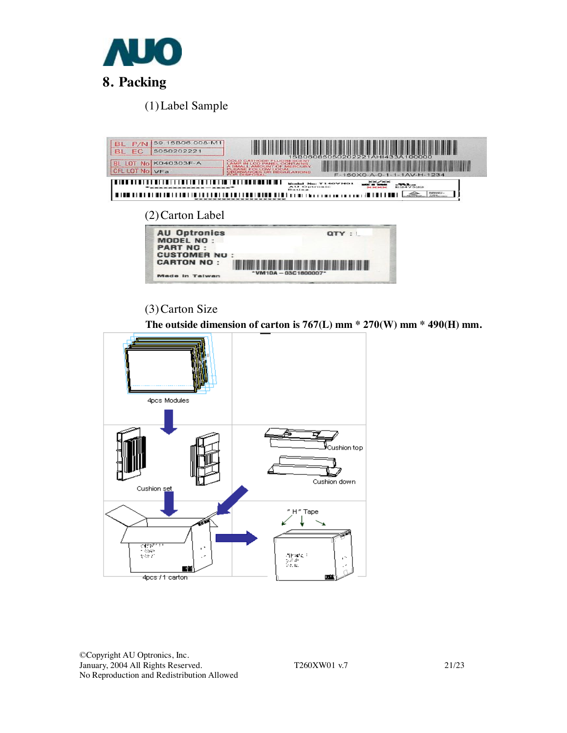

(1)Label Sample



## (3)Carton Size

 **The outside dimension of carton is 767(L) mm \* 270(W) mm \* 490(H) mm.** 



©Copyright AU Optronics, Inc. January, 2004 All Rights Reserved. T260XW01 v.7 21/23 No Reproduction and Redistribution Allowed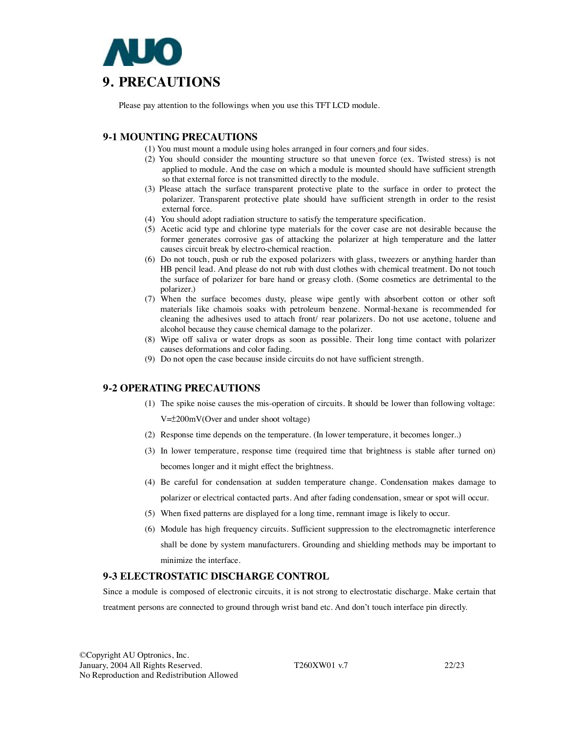

Please pay attention to the followings when you use this TFT LCD module.

### **9-1 MOUNTING PRECAUTIONS**

- (1) You must mount a module using holes arranged in four corners and four sides.
- (2) You should consider the mounting structure so that uneven force (ex. Twisted stress) is not applied to module. And the case on which a module is mounted should have sufficient strength so that external force is not transmitted directly to the module.
- (3) Please attach the surface transparent protective plate to the surface in order to protect the polarizer. Transparent protective plate should have sufficient strength in order to the resist external force.
- (4) You should adopt radiation structure to satisfy the temperature specification.
- (5) Acetic acid type and chlorine type materials for the cover case are not desirable because the former generates corrosive gas of attacking the polarizer at high temperature and the latter causes circuit break by electro-chemical reaction.
- (6) Do not touch, push or rub the exposed polarizers with glass, tweezers or anything harder than HB pencil lead. And please do not rub with dust clothes with chemical treatment. Do not touch the surface of polarizer for bare hand or greasy cloth. (Some cosmetics are detrimental to the polarizer.)
- (7) When the surface becomes dusty, please wipe gently with absorbent cotton or other soft materials like chamois soaks with petroleum benzene. Normal-hexane is recommended for cleaning the adhesives used to attach front/ rear polarizers. Do not use acetone, toluene and alcohol because they cause chemical damage to the polarizer.
- (8) Wipe off saliva or water drops as soon as possible. Their long time contact with polarizer causes deformations and color fading.
- (9) Do not open the case because inside circuits do not have sufficient strength.

#### **9-2 OPERATING PRECAUTIONS**

(1) The spike noise causes the mis-operation of circuits. It should be lower than following voltage:

V=±200mV(Over and under shoot voltage)

- (2) Response time depends on the temperature. (In lower temperature, it becomes longer..)
- (3) In lower temperature, response time (required time that brightness is stable after turned on) becomes longer and it might effect the brightness.
- (4) Be careful for condensation at sudden temperature change. Condensation makes damage to polarizer or electrical contacted parts. And after fading condensation, smear or spot will occur.
- (5) When fixed patterns are displayed for a long time, remnant image is likely to occur.
- (6) Module has high frequency circuits. Sufficient suppression to the electromagnetic interference shall be done by system manufacturers. Grounding and shielding methods may be important to minimize the interface.

#### **9-3 ELECTROSTATIC DISCHARGE CONTROL**

Since a module is composed of electronic circuits, it is not strong to electrostatic discharge. Make certain that treatment persons are connected to ground through wrist band etc. And don't touch interface pin directly.